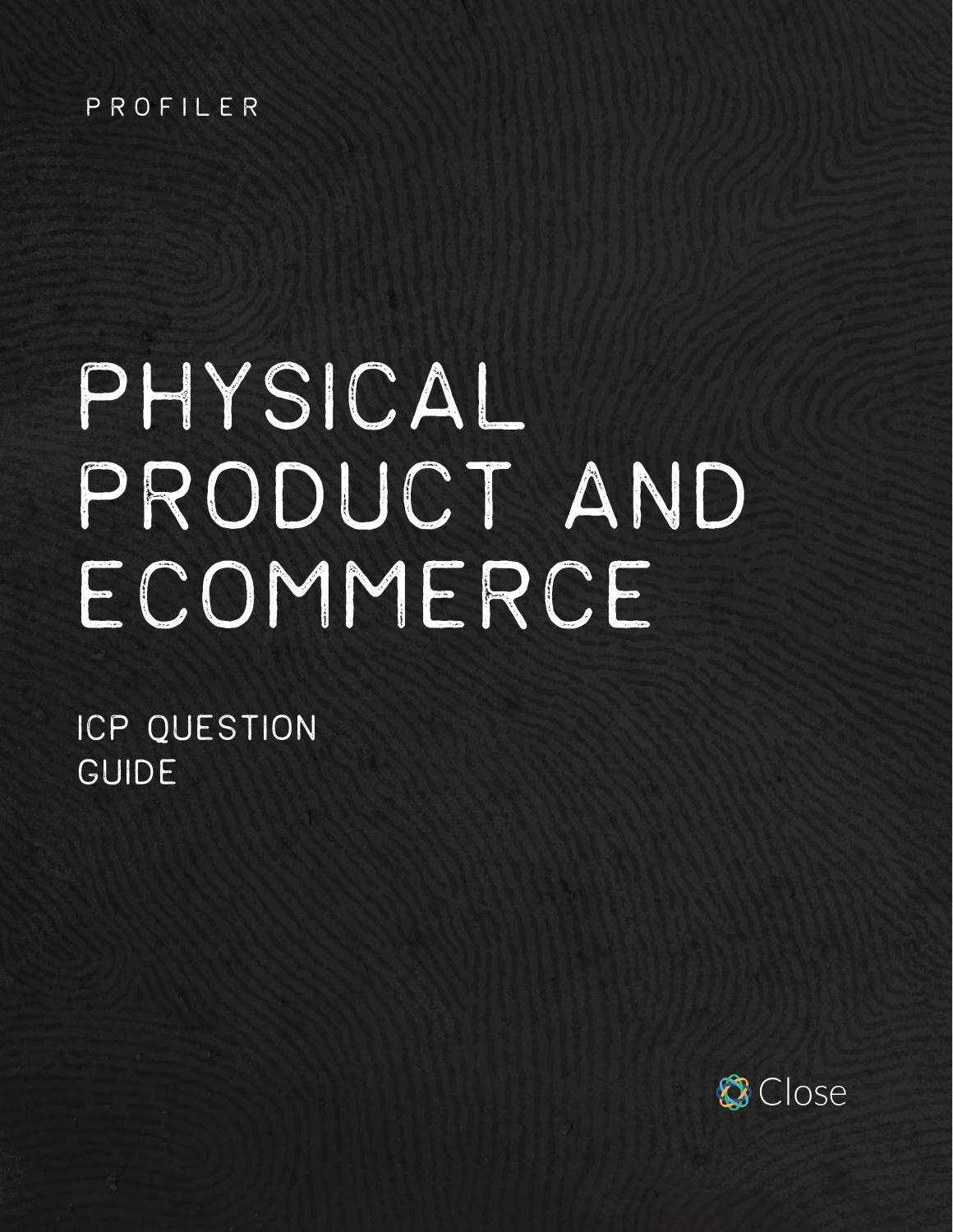#### PROFILER

# physical product AND ECOMMERCE

ICP QUESTION GUIDE

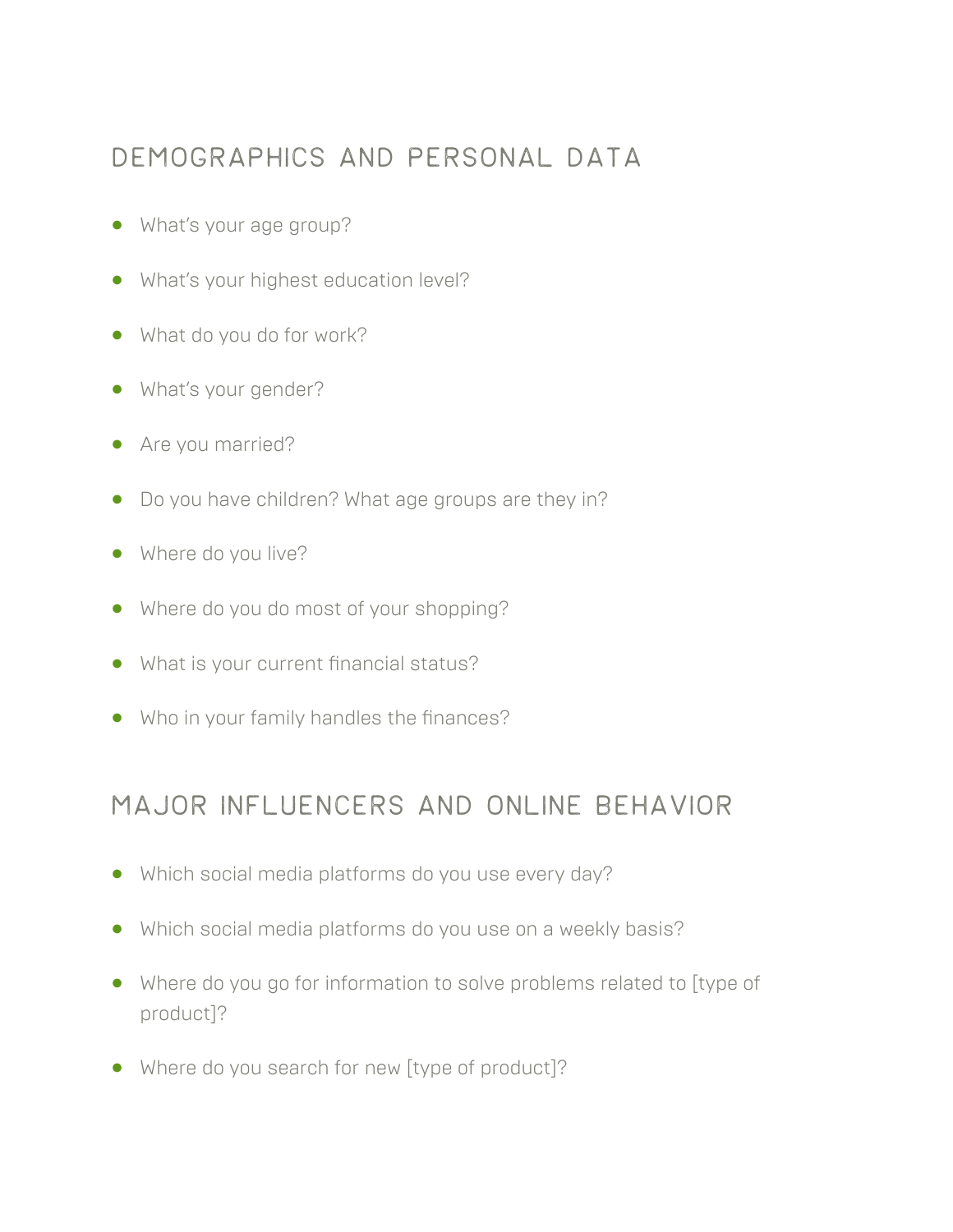#### Demographics and personal data

- **•** What's your age group?
- **•** What's your highest education level?
- **•** What do you do for work?
- **•** What's your gender?
- **•** Are you married?
- **•** Do you have children? What age groups are they in?
- **•** Where do you live?
- **•** Where do you do most of your shopping?
- **•** What is your current financial status?
- **•** Who in your family handles the finances?

#### Major influencers and online behavior

- **•** Which social media platforms do you use every day?
- **•** Which social media platforms do you use on a weekly basis?
- **•** Where do you go for information to solve problems related to [type of product]?
- **•** Where do you search for new [type of product]?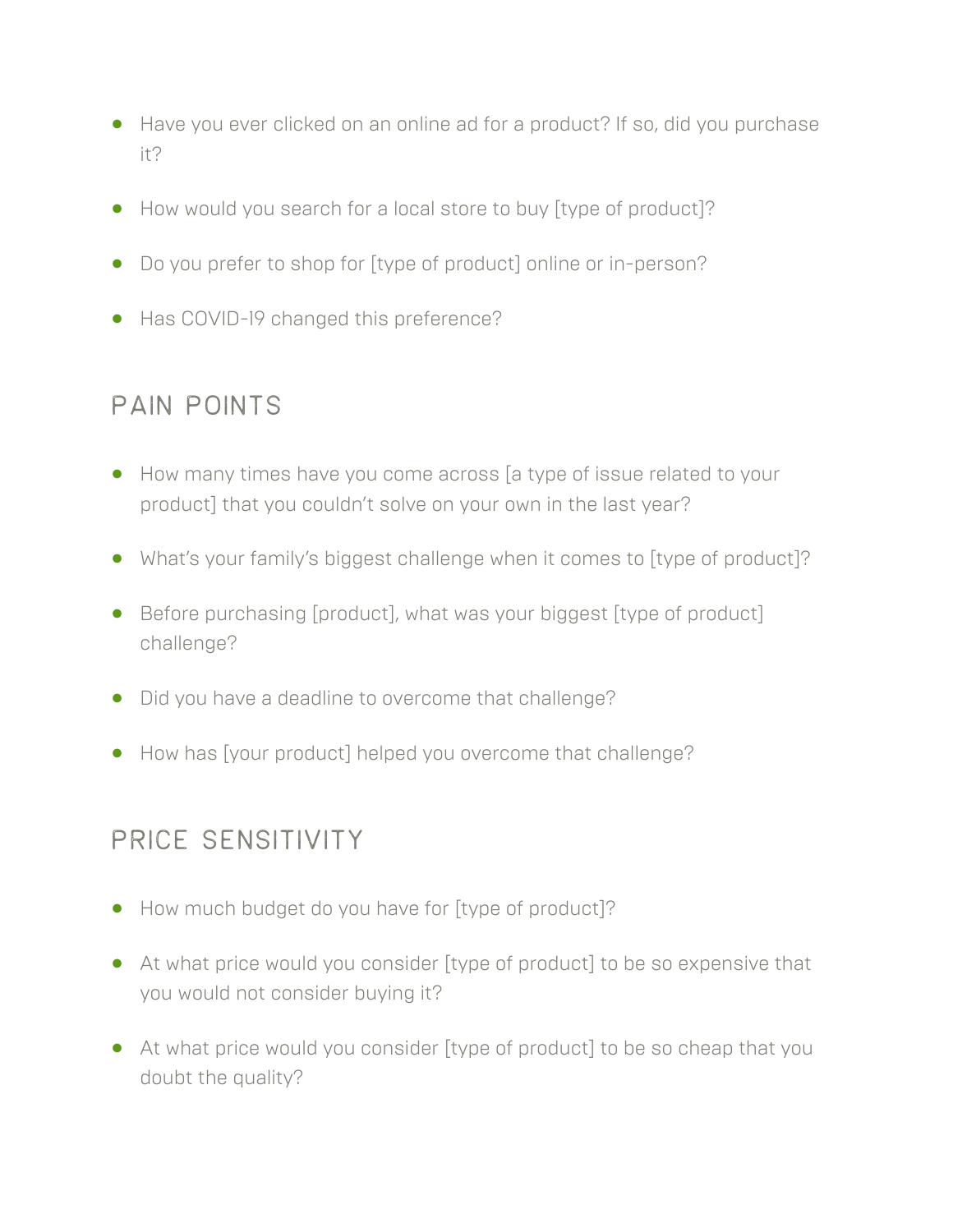- **•** Have you ever clicked on an online ad for a product? If so, did you purchase it?
- **•** How would you search for a local store to buy [type of product]?
- **•** Do you prefer to shop for [type of product] online or in-person?
- **•** Has COVID-19 changed this preference?

### pain points

- **•** How many times have you come across [a type of issue related to your product] that you couldn't solve on your own in the last year?
- **•** What's your family's biggest challenge when it comes to [type of product]?
- **•** Before purchasing [product], what was your biggest [type of product] challenge?
- **•** Did you have a deadline to overcome that challenge?
- **•** How has [your product] helped you overcome that challenge?

#### Price sensitivity

- **•** How much budget do you have for [type of product]?
- **•** At what price would you consider [type of product] to be so expensive that you would not consider buying it?
- **•** At what price would you consider [type of product] to be so cheap that you doubt the quality?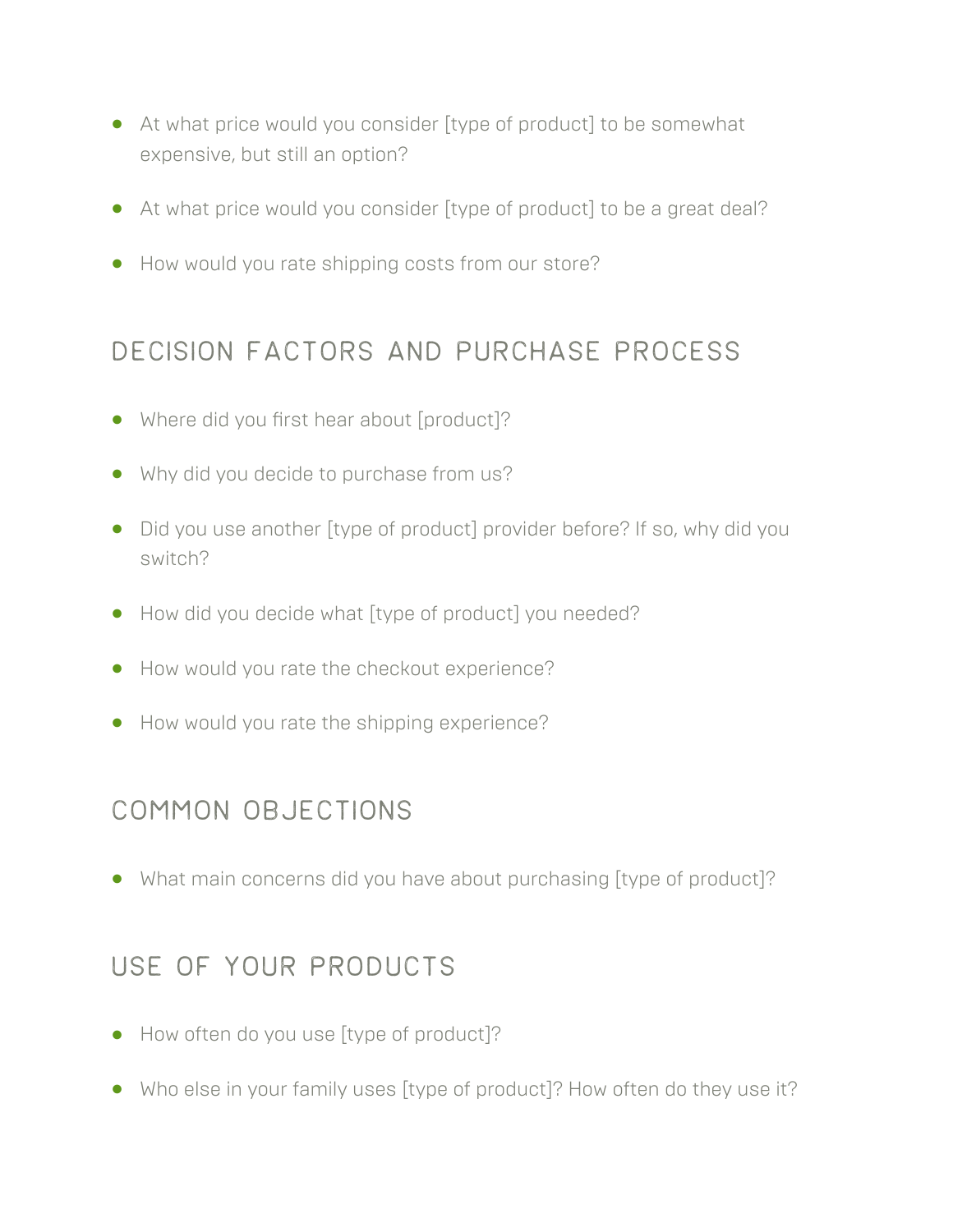- **•** At what price would you consider [type of product] to be somewhat expensive, but still an option?
- **•** At what price would you consider [type of product] to be a great deal?
- **•** How would you rate shipping costs from our store?

#### Decision factors and purchase process

- **•** Where did you first hear about [product]?
- **•** Why did you decide to purchase from us?
- **•** Did you use another [type of product] provider before? If so, why did you switch?
- **•** How did you decide what [type of product] you needed?
- **•** How would you rate the checkout experience?
- **•** How would you rate the shipping experience?

## Common objections

**•** What main concerns did you have about purchasing [type of product]?

#### Use of your PRODUCTS

- **•** How often do you use [type of product]?
- **•** Who else in your family uses [type of product]? How often do they use it?